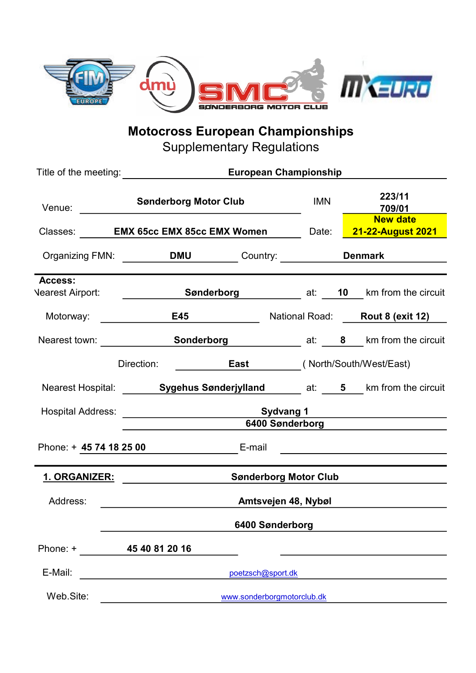

Motocross European Championships

Supplementary Regulations

| Venue:                                                                | <b>Sønderborg Motor Club</b>                                                            |                                                                            |                              | <b>IMN</b> | 223/11<br>709/01 |                                                                                                                      |  |  |
|-----------------------------------------------------------------------|-----------------------------------------------------------------------------------------|----------------------------------------------------------------------------|------------------------------|------------|------------------|----------------------------------------------------------------------------------------------------------------------|--|--|
|                                                                       |                                                                                         | Classes: <b>EMX 65cc EMX 85cc EMX Women</b> Date: <b>21-22-August 2021</b> |                              |            |                  | <b>New date</b>                                                                                                      |  |  |
|                                                                       |                                                                                         | Organizing FMN: __________DMU __________Country: _____________Denmark      |                              |            |                  |                                                                                                                      |  |  |
| Access:                                                               | Nearest Airport: <b>Example 2 Sønderborg</b> Material at: <b>10</b> km from the circuit |                                                                            |                              |            |                  |                                                                                                                      |  |  |
|                                                                       |                                                                                         |                                                                            |                              |            |                  | National Road: Rout 8 (exit 12)                                                                                      |  |  |
|                                                                       | Nearest town: <b>Sonderborg</b> at: 8 km from the circuit                               |                                                                            |                              |            |                  |                                                                                                                      |  |  |
| ________________________________(North/South/West/East)<br>Direction: |                                                                                         |                                                                            |                              |            |                  |                                                                                                                      |  |  |
|                                                                       | Nearest Hospital: Sygehus Sønderjylland _______ at: ____5 ___ km from the circuit       |                                                                            |                              |            |                  |                                                                                                                      |  |  |
|                                                                       | 6400 Sønderborg <b>Chamber 1986</b>                                                     |                                                                            |                              |            |                  |                                                                                                                      |  |  |
|                                                                       | Phone: + 45 74 18 25 00 E-mail                                                          |                                                                            |                              |            |                  | <u> 1989 - Jan James James Jan James James Jan James James Jan James James Jan Jan James James Jan Jan James Jan</u> |  |  |
|                                                                       |                                                                                         |                                                                            |                              |            |                  |                                                                                                                      |  |  |
| 1. ORGANIZER:                                                         | <u> 1980 - Jan Stein Stein, fransk politik (d. 19</u>                                   |                                                                            | <b>Sønderborg Motor Club</b> |            |                  |                                                                                                                      |  |  |
| Address:                                                              | <u>Amtsvejen 48, Nybøl (amternaceus) en angleški po</u>                                 |                                                                            |                              |            |                  |                                                                                                                      |  |  |
|                                                                       |                                                                                         |                                                                            | 6400 Sønderborg              |            |                  |                                                                                                                      |  |  |
| Phone: +                                                              | 45 40 81 20 16                                                                          |                                                                            |                              |            |                  |                                                                                                                      |  |  |
| E-Mail:                                                               |                                                                                         | poetzsch@sport.dk                                                          |                              |            |                  |                                                                                                                      |  |  |
| Web.Site:                                                             |                                                                                         | www.sonderborgmotorclub.dk                                                 |                              |            |                  |                                                                                                                      |  |  |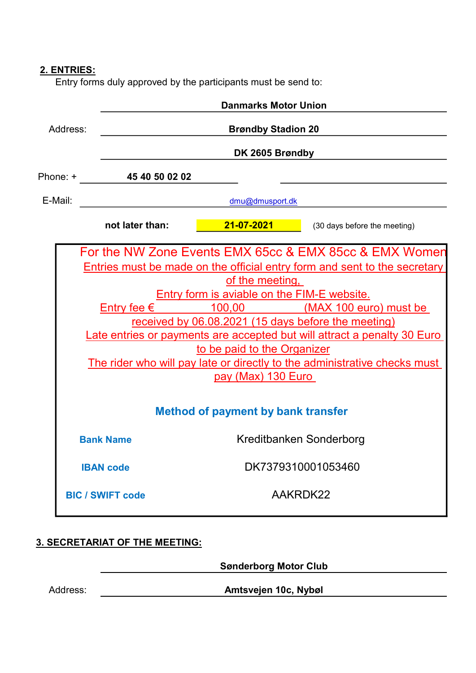# 2. ENTRIES:

Entry forms duly approved by the participants must be send to:

|          |                         | <b>Danmarks Motor Union</b>                                                                                                                                                              |                                                                                                                                                                                                                                                                                                                               |  |  |  |
|----------|-------------------------|------------------------------------------------------------------------------------------------------------------------------------------------------------------------------------------|-------------------------------------------------------------------------------------------------------------------------------------------------------------------------------------------------------------------------------------------------------------------------------------------------------------------------------|--|--|--|
| Address: |                         | <b>Brøndby Stadion 20</b>                                                                                                                                                                |                                                                                                                                                                                                                                                                                                                               |  |  |  |
|          | DK 2605 Brøndby         |                                                                                                                                                                                          |                                                                                                                                                                                                                                                                                                                               |  |  |  |
| Phone: + | 45 40 50 02 02          |                                                                                                                                                                                          |                                                                                                                                                                                                                                                                                                                               |  |  |  |
| E-Mail:  |                         | dmu@dmusport.dk                                                                                                                                                                          |                                                                                                                                                                                                                                                                                                                               |  |  |  |
|          | not later than:         | $21 - 07 - 2021$                                                                                                                                                                         | (30 days before the meeting)                                                                                                                                                                                                                                                                                                  |  |  |  |
|          | Entry fee $\epsilon$    | of the meeting,<br><b>Entry form is aviable on the FIM-E website.</b><br>received by 06.08.2021 (15 days before the meeting)<br>to be paid to the Organizer<br><u>pay (Max) 130 Euro</u> | For the NW Zone Events EMX 65cc & EMX 85cc & EMX Women<br>Entries must be made on the official entry form and sent to the secretary<br>100,00 (MAX 100 euro) must be<br>Late entries or payments are accepted but will attract a penalty 30 Euro<br>The rider who will pay late or directly to the administrative checks must |  |  |  |
|          |                         | <b>Method of payment by bank transfer</b>                                                                                                                                                |                                                                                                                                                                                                                                                                                                                               |  |  |  |
|          | <b>Bank Name</b>        | Kreditbanken Sonderborg                                                                                                                                                                  |                                                                                                                                                                                                                                                                                                                               |  |  |  |
|          | <b>IBAN code</b>        | DK7379310001053460                                                                                                                                                                       |                                                                                                                                                                                                                                                                                                                               |  |  |  |
|          | <b>BIC / SWIFT code</b> | AAKRDK22                                                                                                                                                                                 |                                                                                                                                                                                                                                                                                                                               |  |  |  |

# 3. SECRETARIAT OF THE MEETING:

Sønderborg Motor Club

Address:

Amtsvejen 10c, Nybøl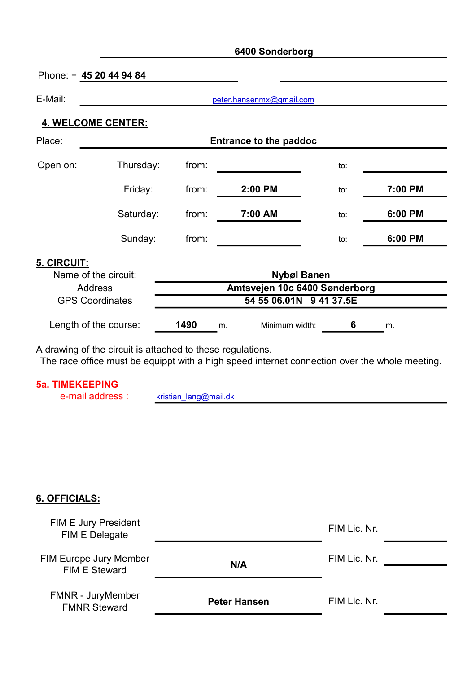# 6400 Sonderborg

Phone: + 45 20 44 94 84

E-Mail:

peter.hansenmx@gmail.com

## 4. WELCOME CENTER:

| Place:      | <b>Entrance to the paddoc</b> |       |         |     |         |
|-------------|-------------------------------|-------|---------|-----|---------|
| Open on:    | Thursday:                     | from: |         | to: |         |
|             | Friday:                       | from: | 2:00 PM | to: | 7:00 PM |
|             | Saturday:                     | from: | 7:00 AM | to: | 6:00 PM |
|             | Sunday:                       | from: |         | to: | 6:00 PM |
| 5. CIRCUIT: |                               |       |         |     |         |

| Name of the circuit:   | <b>Nybøl Banen</b>            |    |                |  |    |  |
|------------------------|-------------------------------|----|----------------|--|----|--|
| <b>Address</b>         | Amtsvejen 10c 6400 Sønderborg |    |                |  |    |  |
| <b>GPS Coordinates</b> | 54 55 06.01N 9 41 37.5E       |    |                |  |    |  |
| Length of the course:  | 1490                          | m. | Minimum width: |  | m. |  |

A drawing of the circuit is attached to these regulations.

The race office must be equippt with a high speed internet connection over the whole meeting.

#### 5a. TIMEKEEPING

e-mail address : kristian\_lang@mail.dk

#### 6. OFFICIALS:

| <b>FIM E Jury President</b><br>FIM E Delegate |                     | FIM Lic. Nr. |  |
|-----------------------------------------------|---------------------|--------------|--|
| FIM Europe Jury Member<br>FIM E Steward       | N/A                 | FIM Lic. Nr. |  |
| FMNR - JuryMember<br><b>FMNR Steward</b>      | <b>Peter Hansen</b> | FIM Lic. Nr. |  |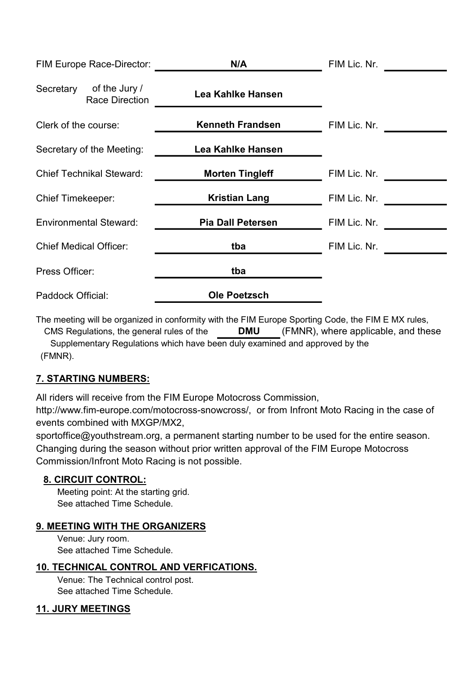| FIM Europe Race-Director:                           | N/A                      | FIM Lic. Nr. |
|-----------------------------------------------------|--------------------------|--------------|
| Secretary<br>of the Jury /<br><b>Race Direction</b> | Lea Kahlke Hansen        |              |
| Clerk of the course:                                | <b>Kenneth Frandsen</b>  | FIM Lic. Nr. |
| Secretary of the Meeting:                           | Lea Kahlke Hansen        |              |
| <b>Chief Technikal Steward:</b>                     | <b>Morten Tingleff</b>   | FIM Lic. Nr. |
| <b>Chief Timekeeper:</b>                            | <b>Kristian Lang</b>     | FIM Lic. Nr. |
| <b>Environmental Steward:</b>                       | <b>Pia Dall Petersen</b> | FIM Lic. Nr. |
| <b>Chief Medical Officer:</b>                       | tba                      | FIM Lic. Nr. |
| Press Officer:                                      | tba                      |              |
| Paddock Official:                                   | <b>Ole Poetzsch</b>      |              |

The meeting will be organized in conformity with the FIM Europe Sporting Code, the FIM E MX rules, CMS Regulations, the general rules of the DMU (FMNR), where applicable, and these

Supplementary Regulations which have been duly examined and approved by the (FMNR).

# 7. STARTING NUMBERS:

All riders will receive from the FIM Europe Motocross Commission,

http://www.fim-europe.com/motocross-snowcross/, or from Infront Moto Racing in the case of events combined with MXGP/MX2,

sportoffice@youthstream.org, a permanent starting number to be used for the entire season. Changing during the season without prior written approval of the FIM Europe Motocross Commission/Infront Moto Racing is not possible.

# 8. CIRCUIT CONTROL:

See attached Time Schedule. Meeting point: At the starting grid.

# 9. MEETING WITH THE ORGANIZERS

Venue: Jury room. See attached Time Schedule.

# 10. TECHNICAL CONTROL AND VERFICATIONS.

Venue: The Technical control post. See attached Time Schedule.

# 11. JURY MEETINGS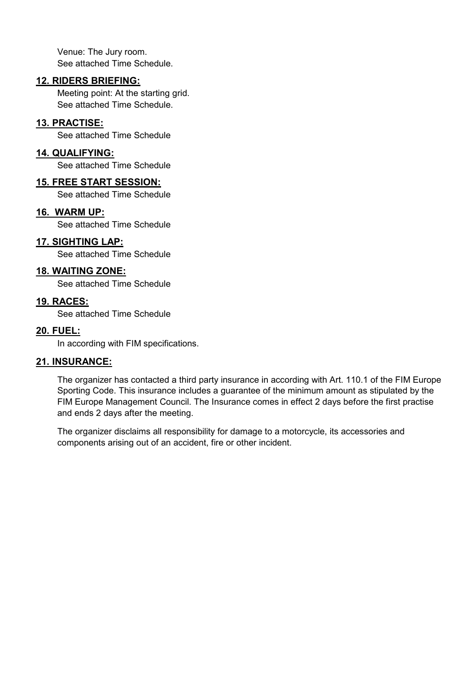Venue: The Jury room. See attached Time Schedule.

#### 12. RIDERS BRIEFING:

Meeting point: At the starting grid. See attached Time Schedule.

#### 13. PRACTISE:

See attached Time Schedule

#### 14. QUALIFYING:

See attached Time Schedule

## 15. FREE START SESSION:

See attached Time Schedule

#### 16. WARM UP:

See attached Time Schedule

# 17. SIGHTING LAP:

See attached Time Schedule

## 18. WAITING ZONE:

See attached Time Schedule

## 19. RACES:

See attached Time Schedule

## 20. FUEL:

In according with FIM specifications.

#### 21. INSURANCE:

The organizer has contacted a third party insurance in according with Art. 110.1 of the FIM Europe Sporting Code. This insurance includes a guarantee of the minimum amount as stipulated by the FIM Europe Management Council. The Insurance comes in effect 2 days before the first practise and ends 2 days after the meeting.

The organizer disclaims all responsibility for damage to a motorcycle, its accessories and components arising out of an accident, fire or other incident.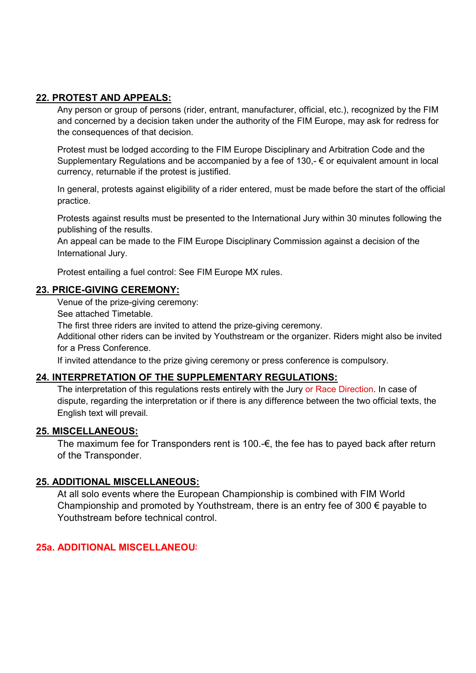# 22. PROTEST AND APPEALS:

Any person or group of persons (rider, entrant, manufacturer, official, etc.), recognized by the FIM and concerned by a decision taken under the authority of the FIM Europe, may ask for redress for the consequences of that decision.

Protest must be lodged according to the FIM Europe Disciplinary and Arbitration Code and the Supplementary Regulations and be accompanied by a fee of 130,-  $\epsilon$  or equivalent amount in local currency, returnable if the protest is justified.

In general, protests against eligibility of a rider entered, must be made before the start of the official practice.

Protests against results must be presented to the International Jury within 30 minutes following the publishing of the results.

An appeal can be made to the FIM Europe Disciplinary Commission against a decision of the International Jury.

Protest entailing a fuel control: See FIM Europe MX rules.

#### 23. PRICE-GIVING CEREMONY:

Venue of the prize-giving ceremony:

See attached Timetable.

The first three riders are invited to attend the prize-giving ceremony.

Additional other riders can be invited by Youthstream or the organizer. Riders might also be invited for a Press Conference.

If invited attendance to the prize giving ceremony or press conference is compulsory.

#### 24. INTERPRETATION OF THE SUPPLEMENTARY REGULATIONS:

The interpretation of this regulations rests entirely with the Jury or Race Direction. In case of dispute, regarding the interpretation or if there is any difference between the two official texts, the English text will prevail.

#### 25. MISCELLANEOUS:

The maximum fee for Transponders rent is 100. $\epsilon$ , the fee has to payed back after return of the Transponder.

#### 25. ADDITIONAL MISCELLANEOUS:

At all solo events where the European Championship is combined with FIM World Championship and promoted by Youthstream, there is an entry fee of 300  $\epsilon$  payable to Youthstream before technical control.

## 25a. ADDITIONAL MISCELLANEOUS: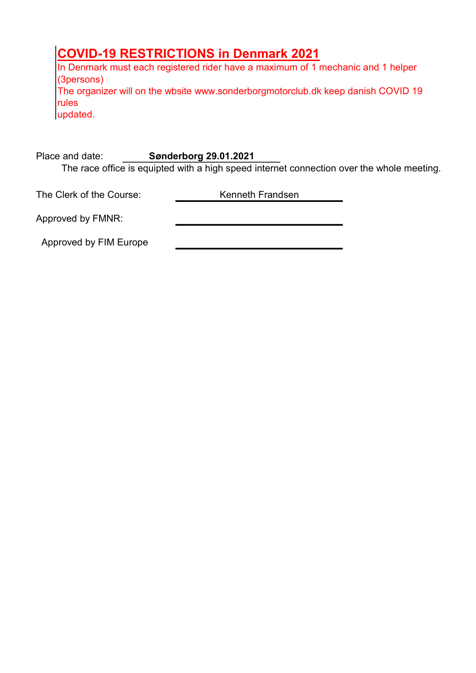# COVID-19 RESTRICTIONS in Denmark 2021

In Denmark must each registered rider have a maximum of 1 mechanic and 1 helper (3persons) The organizer will on the wbsite www.sonderborgmotorclub.dk keep danish COVID 19 rules updated.

The race office is equipted with a high speed internet connection over the whole meeting. Place and date: Sønderborg 29.01.2021

The Clerk of the Course: Kenneth Frandsen

Approved by FMNR:

Approved by FIM Europe